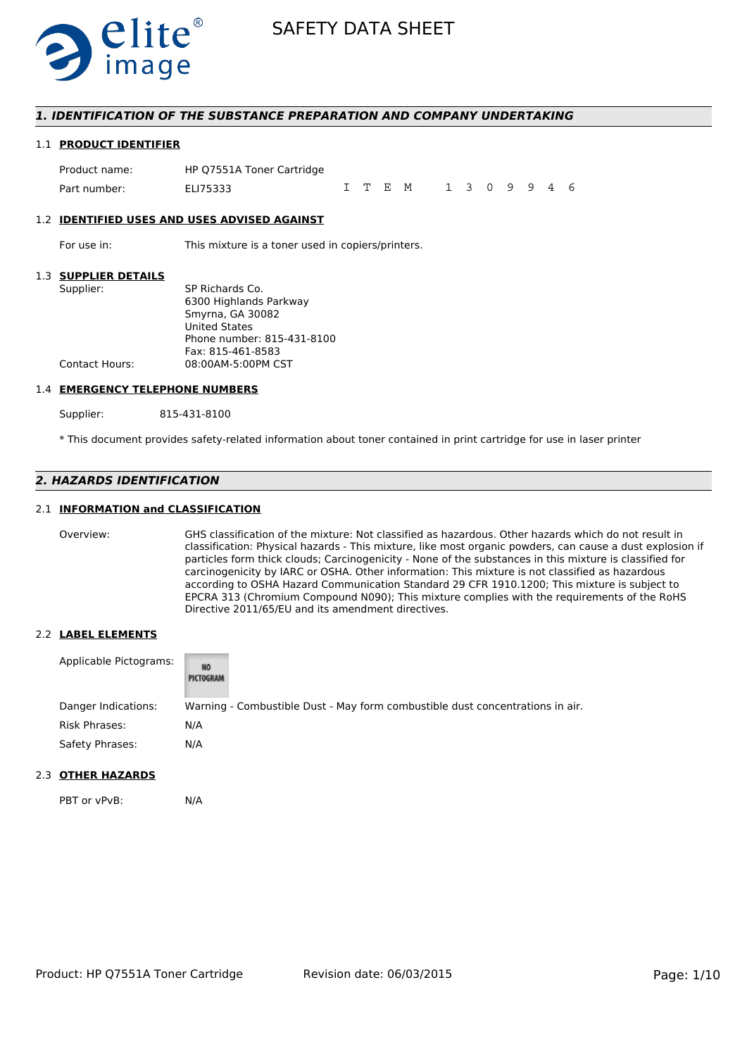

# *1. IDENTIFICATION OF THE SUBSTANCE PREPARATION AND COMPANY UNDERTAKING*

### 1.1 **PRODUCT IDENTIFIER**

Product name: HP Q7551A Toner Cartridge Part number: FLI75333 ITEM 1309946

#### 1.2 **IDENTIFIED USES AND USES ADVISED AGAINST**

For use in: This mixture is a toner used in copiers/printers.

### 1.3 **SUPPLIER DETAILS**

| Supplier:      | SP Richards Co.            |
|----------------|----------------------------|
|                | 6300 Highlands Parkway     |
|                | Smyrna, GA 30082           |
|                | <b>United States</b>       |
|                | Phone number: 815-431-8100 |
|                | Fax: 815-461-8583          |
| Contact Hours: | 08:00AM-5:00PM CST         |
|                |                            |

#### 1.4 **EMERGENCY TELEPHONE NUMBERS**

Supplier: 815-431-8100

\* This document provides safety-related information about toner contained in print cartridge for use in laser printer

# *2. HAZARDS IDENTIFICATION*

# 2.1 **INFORMATION and CLASSIFICATION**

Overview: GHS classification of the mixture: Not classified as hazardous. Other hazards which do not result in classification: Physical hazards - This mixture, like most organic powders, can cause a dust explosion if particles form thick clouds; Carcinogenicity - None of the substances in this mixture is classified for carcinogenicity by IARC or OSHA. Other information: This mixture is not classified as hazardous according to OSHA Hazard Communication Standard 29 CFR 1910.1200; This mixture is subject to EPCRA 313 (Chromium Compound N090); This mixture complies with the requirements of the RoHS Directive 2011/65/EU and its amendment directives.

# 2.2 **LABEL ELEMENTS**

| Applicable Pictograms: | NO<br>PICTOGRAM |                                                                               |
|------------------------|-----------------|-------------------------------------------------------------------------------|
| Danger Indications:    |                 | Warning - Combustible Dust - May form combustible dust concentrations in air. |
| Risk Phrases:          | N/A             |                                                                               |
| Safety Phrases:        | N/A             |                                                                               |

# 2.3 **OTHER HAZARDS**

PBT or vPvB: N/A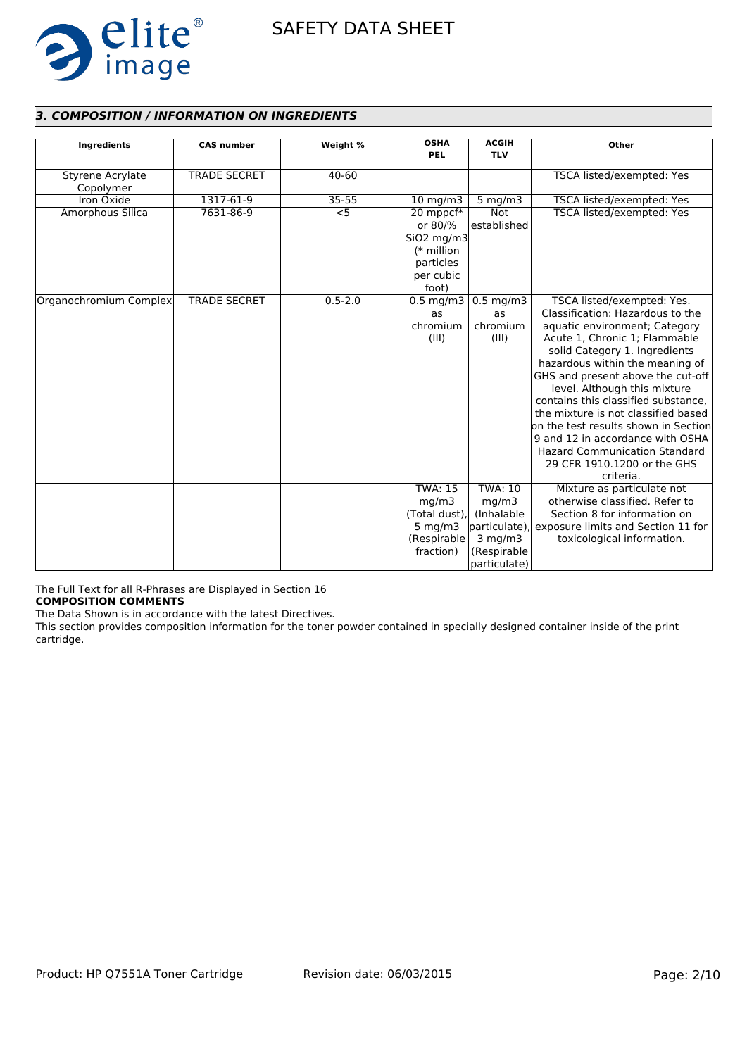

# *3. COMPOSITION / INFORMATION ON INGREDIENTS*

| Ingredients            | <b>CAS number</b>   | Weight %    | <b>OSHA</b><br><b>PEL</b> | <b>ACGIH</b><br><b>TLV</b> | Other                                          |
|------------------------|---------------------|-------------|---------------------------|----------------------------|------------------------------------------------|
|                        |                     |             |                           |                            |                                                |
| Styrene Acrylate       | <b>TRADE SECRET</b> | 40-60       |                           |                            | TSCA listed/exempted: Yes                      |
| Copolymer              |                     |             |                           |                            |                                                |
| Iron Oxide             | 1317-61-9           | 35-55       | $10 \text{ mg/m}$         | $5$ mg/m $3$               | TSCA listed/exempted: Yes                      |
| Amorphous Silica       | 7631-86-9           | $<$ 5       | 20 mppcf*                 | <b>Not</b>                 | TSCA listed/exempted: Yes                      |
|                        |                     |             | or 80/%                   | established                |                                                |
|                        |                     |             | SiO <sub>2</sub> mg/m3    |                            |                                                |
|                        |                     |             | $(*$ million              |                            |                                                |
|                        |                     |             | particles                 |                            |                                                |
|                        |                     |             | per cubic                 |                            |                                                |
|                        |                     |             | foot)                     |                            |                                                |
| Organochromium Complex | <b>TRADE SECRET</b> | $0.5 - 2.0$ | $0.5 \text{ mg/m}$ 3      | $0.5$ mg/m $3$             | TSCA listed/exempted: Yes.                     |
|                        |                     |             | as                        | as                         | Classification: Hazardous to the               |
|                        |                     |             | chromium                  | chromium                   | aquatic environment; Category                  |
|                        |                     |             | (III)                     | (III)                      | Acute 1, Chronic 1; Flammable                  |
|                        |                     |             |                           |                            | solid Category 1. Ingredients                  |
|                        |                     |             |                           |                            | hazardous within the meaning of                |
|                        |                     |             |                           |                            | GHS and present above the cut-off              |
|                        |                     |             |                           |                            | level. Although this mixture                   |
|                        |                     |             |                           |                            | contains this classified substance.            |
|                        |                     |             |                           |                            | the mixture is not classified based            |
|                        |                     |             |                           |                            | $\,$ on the test results shown in Section $\,$ |
|                        |                     |             |                           |                            | 9 and 12 in accordance with OSHA               |
|                        |                     |             |                           |                            | <b>Hazard Communication Standard</b>           |
|                        |                     |             |                           |                            | 29 CFR 1910.1200 or the GHS                    |
|                        |                     |             |                           |                            | criteria.                                      |
|                        |                     |             | <b>TWA: 15</b>            | <b>TWA: 10</b>             | Mixture as particulate not                     |
|                        |                     |             | mg/m3                     | mg/m3                      | otherwise classified. Refer to                 |
|                        |                     |             | (Total dust),             | (Inhalable                 | Section 8 for information on                   |
|                        |                     |             | $5$ mg/m $3$              | particulate)               | exposure limits and Section 11 for             |
|                        |                     |             | (Respirable               | $3$ mg/m $3$               | toxicological information.                     |
|                        |                     |             | fraction)                 | (Respirable                |                                                |
|                        |                     |             |                           | particulate)               |                                                |

The Full Text for all R-Phrases are Displayed in Section 16

**COMPOSITION COMMENTS**

The Data Shown is in accordance with the latest Directives.

This section provides composition information for the toner powder contained in specially designed container inside of the print cartridge.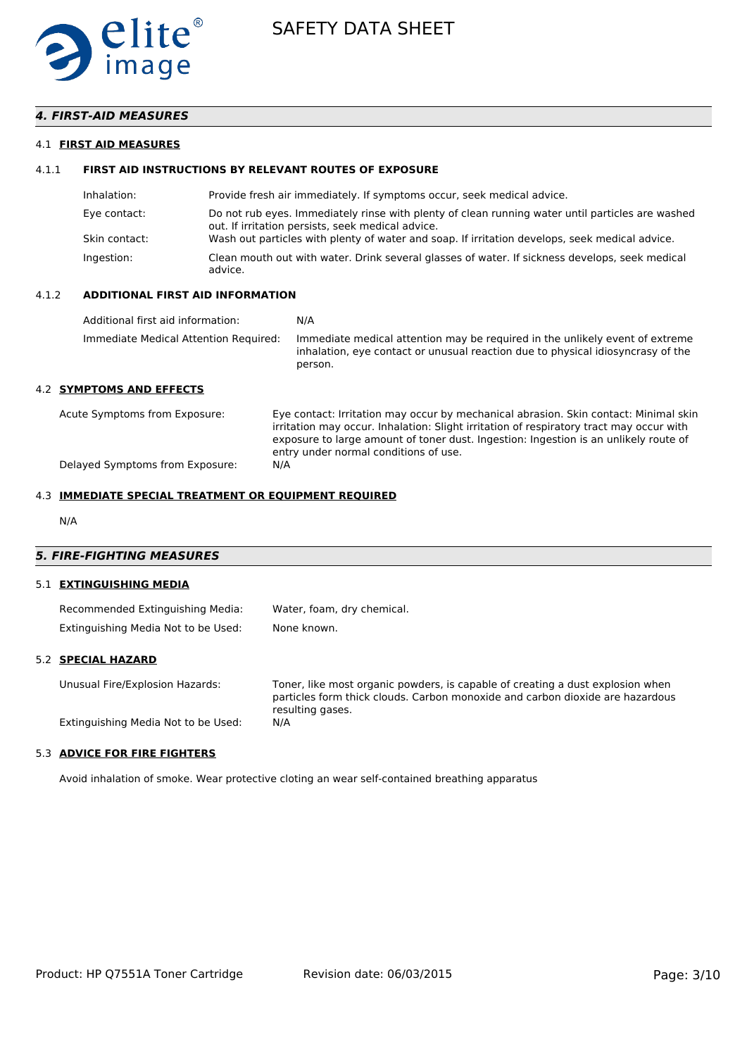

# *4. FIRST-AID MEASURES*

### 4.1 **FIRST AID MEASURES**

# 4.1.1 **FIRST AID INSTRUCTIONS BY RELEVANT ROUTES OF EXPOSURE**

| Inhalation:   | Provide fresh air immediately. If symptoms occur, seek medical advice.                                                                                |
|---------------|-------------------------------------------------------------------------------------------------------------------------------------------------------|
| Eye contact:  | Do not rub eyes. Immediately rinse with plenty of clean running water until particles are washed<br>out. If irritation persists, seek medical advice. |
| Skin contact: | Wash out particles with plenty of water and soap. If irritation develops, seek medical advice.                                                        |
| Ingestion:    | Clean mouth out with water. Drink several glasses of water. If sickness develops, seek medical<br>advice.                                             |

### 4.1.2 **ADDITIONAL FIRST AID INFORMATION**

| Additional first aid information:     | N/A                                                                                                                                                                        |
|---------------------------------------|----------------------------------------------------------------------------------------------------------------------------------------------------------------------------|
| Immediate Medical Attention Required: | Immediate medical attention may be required in the unlikely event of extreme<br>inhalation, eye contact or unusual reaction due to physical idiosyncrasy of the<br>person. |

# 4.2 **SYMPTOMS AND EFFECTS**

| Acute Symptoms from Exposure:   | Eye contact: Irritation may occur by mechanical abrasion. Skin contact: Minimal skin<br>irritation may occur. Inhalation: Slight irritation of respiratory tract may occur with<br>exposure to large amount of toner dust. Ingestion: Ingestion is an unlikely route of<br>entry under normal conditions of use. |
|---------------------------------|------------------------------------------------------------------------------------------------------------------------------------------------------------------------------------------------------------------------------------------------------------------------------------------------------------------|
| Delayed Symptoms from Exposure: | N/A                                                                                                                                                                                                                                                                                                              |

#### 4.3 **IMMEDIATE SPECIAL TREATMENT OR EQUIPMENT REQUIRED**

N/A

# *5. FIRE-FIGHTING MEASURES*

#### 5.1 **EXTINGUISHING MEDIA**

| Recommended Extinguishing Media:    | Water, foam, dry chemical. |
|-------------------------------------|----------------------------|
| Extinguishing Media Not to be Used: | None known.                |

### 5.2 **SPECIAL HAZARD**

Unusual Fire/Explosion Hazards: Toner, like most organic powders, is capable of creating a dust explosion when particles form thick clouds. Carbon monoxide and carbon dioxide are hazardous resulting gases.<br>N/A Extinguishing Media Not to be Used:

# 5.3 **ADVICE FOR FIRE FIGHTERS**

Avoid inhalation of smoke. Wear protective cloting an wear self-contained breathing apparatus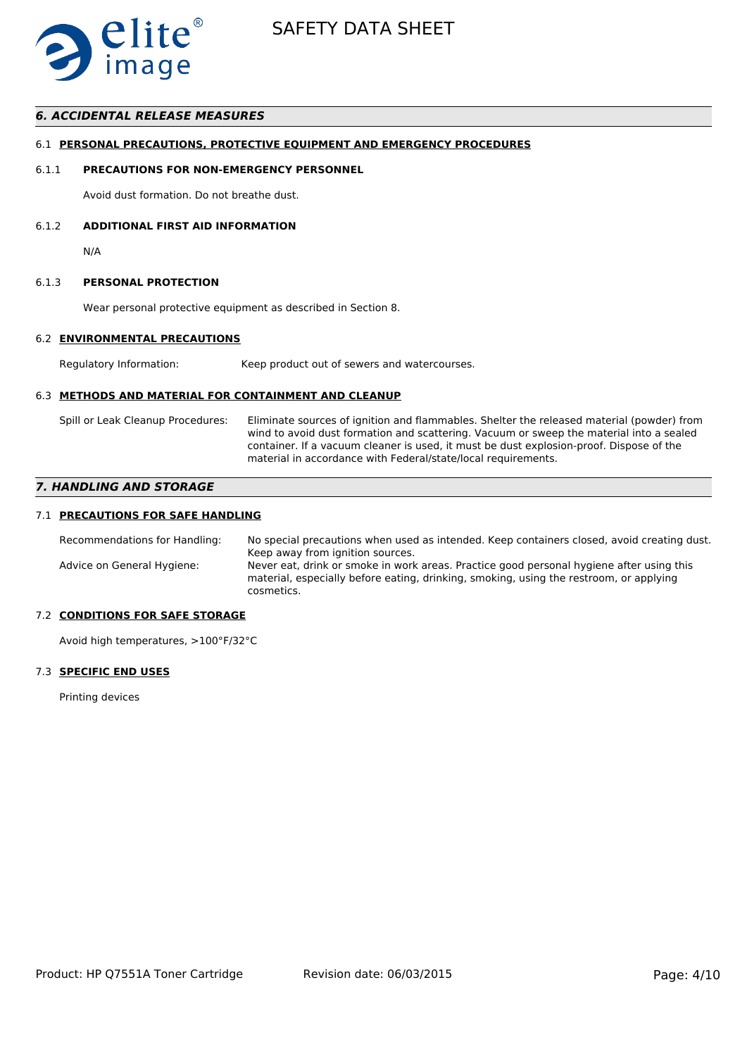

# *6. ACCIDENTAL RELEASE MEASURES*

### 6.1 **PERSONAL PRECAUTIONS, PROTECTIVE EQUIPMENT AND EMERGENCY PROCEDURES**

#### 6.1.1 **PRECAUTIONS FOR NON-EMERGENCY PERSONNEL**

Avoid dust formation. Do not breathe dust.

# 6.1.2 **ADDITIONAL FIRST AID INFORMATION**

N/A

#### 6.1.3 **PERSONAL PROTECTION**

Wear personal protective equipment as described in Section 8.

# 6.2 **ENVIRONMENTAL PRECAUTIONS**

Regulatory Information: Keep product out of sewers and watercourses.

# 6.3 **METHODS AND MATERIAL FOR CONTAINMENT AND CLEANUP**

Spill or Leak Cleanup Procedures: Eliminate sources of ignition and flammables. Shelter the released material (powder) from wind to avoid dust formation and scattering. Vacuum or sweep the material into a sealed container. If a vacuum cleaner is used, it must be dust explosion-proof. Dispose of the material in accordance with Federal/state/local requirements.

# *7. HANDLING AND STORAGE*

# 7.1 **PRECAUTIONS FOR SAFE HANDLING**

Recommendations for Handling: No special precautions when used as intended. Keep containers closed, avoid creating dust. Keep away from ignition sources. Advice on General Hygiene: Never eat, drink or smoke in work areas. Practice good personal hygiene after using this material, especially before eating, drinking, smoking, using the restroom, or applying cosmetics.

# 7.2 **CONDITIONS FOR SAFE STORAGE**

Avoid high temperatures, >100°F/32°C

# 7.3 **SPECIFIC END USES**

Printing devices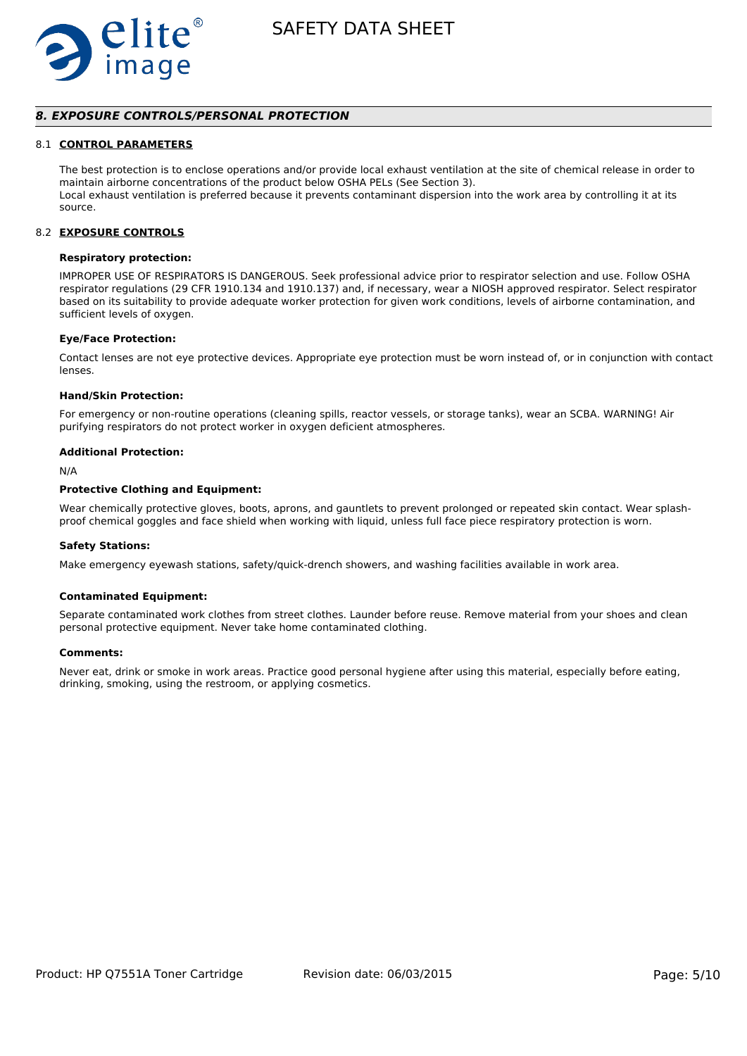

# *8. EXPOSURE CONTROLS/PERSONAL PROTECTION*

#### 8.1 **CONTROL PARAMETERS**

The best protection is to enclose operations and/or provide local exhaust ventilation at the site of chemical release in order to maintain airborne concentrations of the product below OSHA PELs (See Section 3). Local exhaust ventilation is preferred because it prevents contaminant dispersion into the work area by controlling it at its source.

#### 8.2 **EXPOSURE CONTROLS**

### **Respiratory protection:**

IMPROPER USE OF RESPIRATORS IS DANGEROUS. Seek professional advice prior to respirator selection and use. Follow OSHA respirator regulations (29 CFR 1910.134 and 1910.137) and, if necessary, wear a NIOSH approved respirator. Select respirator based on its suitability to provide adequate worker protection for given work conditions, levels of airborne contamination, and sufficient levels of oxygen.

#### **Eye/Face Protection:**

Contact lenses are not eye protective devices. Appropriate eye protection must be worn instead of, or in conjunction with contact lenses.

#### **Hand/Skin Protection:**

For emergency or non-routine operations (cleaning spills, reactor vessels, or storage tanks), wear an SCBA. WARNING! Air purifying respirators do not protect worker in oxygen deficient atmospheres.

#### **Additional Protection:**

N/A

# **Protective Clothing and Equipment:**

Wear chemically protective gloves, boots, aprons, and gauntlets to prevent prolonged or repeated skin contact. Wear splashproof chemical goggles and face shield when working with liquid, unless full face piece respiratory protection is worn.

#### **Safety Stations:**

Make emergency eyewash stations, safety/quick-drench showers, and washing facilities available in work area.

#### **Contaminated Equipment:**

Separate contaminated work clothes from street clothes. Launder before reuse. Remove material from your shoes and clean personal protective equipment. Never take home contaminated clothing.

#### **Comments:**

Never eat, drink or smoke in work areas. Practice good personal hygiene after using this material, especially before eating, drinking, smoking, using the restroom, or applying cosmetics.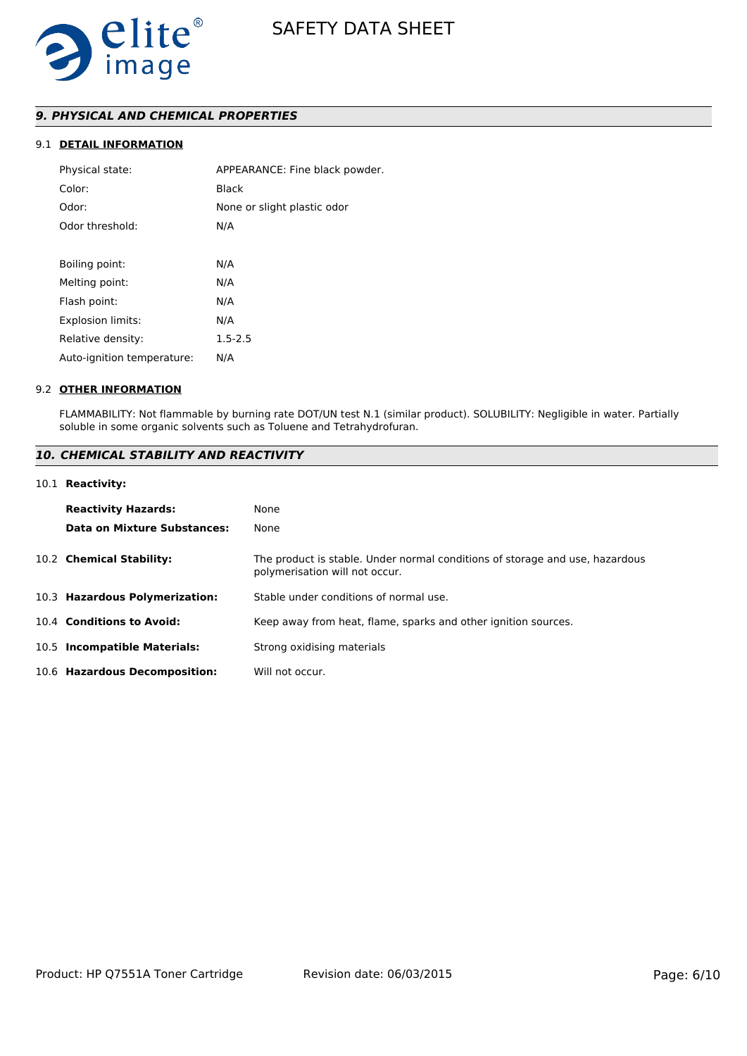

# *9. PHYSICAL AND CHEMICAL PROPERTIES*

# 9.1 **DETAIL INFORMATION**

| Physical state:            | APPEARANCE: Fine black powder. |
|----------------------------|--------------------------------|
| Color:                     | Black                          |
| Odor:                      | None or slight plastic odor    |
| Odor threshold:            | N/A                            |
|                            |                                |
| Boiling point:             | N/A                            |
| Melting point:             | N/A                            |
| Flash point:               | N/A                            |
| <b>Explosion limits:</b>   | N/A                            |
| Relative density:          | $1.5 - 2.5$                    |
| Auto-ignition temperature: | N/A                            |
|                            |                                |

### 9.2 **OTHER INFORMATION**

FLAMMABILITY: Not flammable by burning rate DOT/UN test N.1 (similar product). SOLUBILITY: Negligible in water. Partially soluble in some organic solvents such as Toluene and Tetrahydrofuran.

# *10. CHEMICAL STABILITY AND REACTIVITY*

### 10.1 **Reactivity:**

| <b>Reactivity Hazards:</b><br>Data on Mixture Substances: | None<br>None                                                                                                   |
|-----------------------------------------------------------|----------------------------------------------------------------------------------------------------------------|
| 10.2 Chemical Stability:                                  | The product is stable. Under normal conditions of storage and use, hazardous<br>polymerisation will not occur. |
| 10.3 Hazardous Polymerization:                            | Stable under conditions of normal use.                                                                         |
| 10.4 Conditions to Avoid:                                 | Keep away from heat, flame, sparks and other ignition sources.                                                 |
| 10.5 Incompatible Materials:                              | Strong oxidising materials                                                                                     |
| 10.6 Hazardous Decomposition:                             | Will not occur.                                                                                                |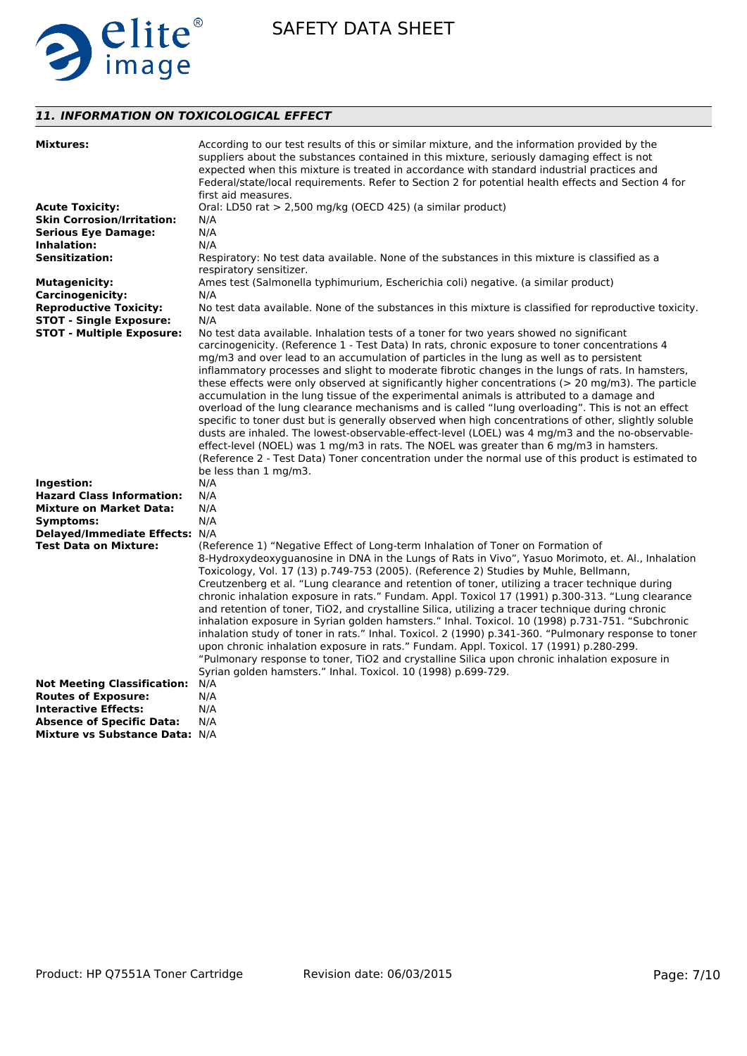

# *11. INFORMATION ON TOXICOLOGICAL EFFECT*

| <b>Mixtures:</b>                   | According to our test results of this or similar mixture, and the information provided by the<br>suppliers about the substances contained in this mixture, seriously damaging effect is not<br>expected when this mixture is treated in accordance with standard industrial practices and<br>Federal/state/local requirements. Refer to Section 2 for potential health effects and Section 4 for                                                                                                                                                                                                                                                                                                                                                                                                                                                                                                                                                                                                                                                                 |
|------------------------------------|------------------------------------------------------------------------------------------------------------------------------------------------------------------------------------------------------------------------------------------------------------------------------------------------------------------------------------------------------------------------------------------------------------------------------------------------------------------------------------------------------------------------------------------------------------------------------------------------------------------------------------------------------------------------------------------------------------------------------------------------------------------------------------------------------------------------------------------------------------------------------------------------------------------------------------------------------------------------------------------------------------------------------------------------------------------|
|                                    | first aid measures.                                                                                                                                                                                                                                                                                                                                                                                                                                                                                                                                                                                                                                                                                                                                                                                                                                                                                                                                                                                                                                              |
| <b>Acute Toxicity:</b>             | Oral: LD50 rat > 2,500 mg/kg (OECD 425) (a similar product)                                                                                                                                                                                                                                                                                                                                                                                                                                                                                                                                                                                                                                                                                                                                                                                                                                                                                                                                                                                                      |
| <b>Skin Corrosion/Irritation:</b>  | N/A                                                                                                                                                                                                                                                                                                                                                                                                                                                                                                                                                                                                                                                                                                                                                                                                                                                                                                                                                                                                                                                              |
| <b>Serious Eye Damage:</b>         | N/A                                                                                                                                                                                                                                                                                                                                                                                                                                                                                                                                                                                                                                                                                                                                                                                                                                                                                                                                                                                                                                                              |
| <b>Inhalation:</b>                 | N/A                                                                                                                                                                                                                                                                                                                                                                                                                                                                                                                                                                                                                                                                                                                                                                                                                                                                                                                                                                                                                                                              |
| <b>Sensitization:</b>              | Respiratory: No test data available. None of the substances in this mixture is classified as a<br>respiratory sensitizer.                                                                                                                                                                                                                                                                                                                                                                                                                                                                                                                                                                                                                                                                                                                                                                                                                                                                                                                                        |
| <b>Mutagenicity:</b>               | Ames test (Salmonella typhimurium, Escherichia coli) negative. (a similar product)                                                                                                                                                                                                                                                                                                                                                                                                                                                                                                                                                                                                                                                                                                                                                                                                                                                                                                                                                                               |
| <b>Carcinogenicity:</b>            | N/A                                                                                                                                                                                                                                                                                                                                                                                                                                                                                                                                                                                                                                                                                                                                                                                                                                                                                                                                                                                                                                                              |
| <b>Reproductive Toxicity:</b>      | No test data available. None of the substances in this mixture is classified for reproductive toxicity.                                                                                                                                                                                                                                                                                                                                                                                                                                                                                                                                                                                                                                                                                                                                                                                                                                                                                                                                                          |
| <b>STOT - Single Exposure:</b>     | N/A                                                                                                                                                                                                                                                                                                                                                                                                                                                                                                                                                                                                                                                                                                                                                                                                                                                                                                                                                                                                                                                              |
| <b>STOT - Multiple Exposure:</b>   | No test data available. Inhalation tests of a toner for two years showed no significant                                                                                                                                                                                                                                                                                                                                                                                                                                                                                                                                                                                                                                                                                                                                                                                                                                                                                                                                                                          |
|                                    | carcinogenicity. (Reference 1 - Test Data) In rats, chronic exposure to toner concentrations 4<br>mg/m3 and over lead to an accumulation of particles in the lung as well as to persistent<br>inflammatory processes and slight to moderate fibrotic changes in the lungs of rats. In hamsters,<br>these effects were only observed at significantly higher concentrations ( $>$ 20 mg/m3). The particle<br>accumulation in the lung tissue of the experimental animals is attributed to a damage and<br>overload of the lung clearance mechanisms and is called "lung overloading". This is not an effect<br>specific to toner dust but is generally observed when high concentrations of other, slightly soluble<br>dusts are inhaled. The lowest-observable-effect-level (LOEL) was 4 mg/m3 and the no-observable-<br>effect-level (NOEL) was 1 mg/m3 in rats. The NOEL was greater than 6 mg/m3 in hamsters.<br>(Reference 2 - Test Data) Toner concentration under the normal use of this product is estimated to<br>be less than 1 mg/m3.                  |
| Ingestion:                         | N/A                                                                                                                                                                                                                                                                                                                                                                                                                                                                                                                                                                                                                                                                                                                                                                                                                                                                                                                                                                                                                                                              |
| <b>Hazard Class Information:</b>   | N/A                                                                                                                                                                                                                                                                                                                                                                                                                                                                                                                                                                                                                                                                                                                                                                                                                                                                                                                                                                                                                                                              |
| <b>Mixture on Market Data:</b>     | N/A                                                                                                                                                                                                                                                                                                                                                                                                                                                                                                                                                                                                                                                                                                                                                                                                                                                                                                                                                                                                                                                              |
| Symptoms:                          | N/A                                                                                                                                                                                                                                                                                                                                                                                                                                                                                                                                                                                                                                                                                                                                                                                                                                                                                                                                                                                                                                                              |
| Delayed/Immediate Effects: N/A     |                                                                                                                                                                                                                                                                                                                                                                                                                                                                                                                                                                                                                                                                                                                                                                                                                                                                                                                                                                                                                                                                  |
| <b>Test Data on Mixture:</b>       | (Reference 1) "Negative Effect of Long-term Inhalation of Toner on Formation of<br>8-Hydroxydeoxyguanosine in DNA in the Lungs of Rats in Vivo", Yasuo Morimoto, et. Al., Inhalation<br>Toxicology, Vol. 17 (13) p.749-753 (2005). (Reference 2) Studies by Muhle, Bellmann,<br>Creutzenberg et al. "Lung clearance and retention of toner, utilizing a tracer technique during<br>chronic inhalation exposure in rats." Fundam. Appl. Toxicol 17 (1991) p.300-313. "Lung clearance<br>and retention of toner, TiO2, and crystalline Silica, utilizing a tracer technique during chronic<br>inhalation exposure in Syrian golden hamsters." Inhal. Toxicol. 10 (1998) p.731-751. "Subchronic<br>inhalation study of toner in rats." Inhal. Toxicol. 2 (1990) p.341-360. "Pulmonary response to toner<br>upon chronic inhalation exposure in rats." Fundam. Appl. Toxicol. 17 (1991) p.280-299.<br>"Pulmonary response to toner, TiO2 and crystalline Silica upon chronic inhalation exposure in<br>Syrian golden hamsters." Inhal. Toxicol. 10 (1998) p.699-729. |
| <b>Not Meeting Classification:</b> | N/A                                                                                                                                                                                                                                                                                                                                                                                                                                                                                                                                                                                                                                                                                                                                                                                                                                                                                                                                                                                                                                                              |
| <b>Routes of Exposure:</b>         | N/A                                                                                                                                                                                                                                                                                                                                                                                                                                                                                                                                                                                                                                                                                                                                                                                                                                                                                                                                                                                                                                                              |
| <b>Interactive Effects:</b>        | N/A                                                                                                                                                                                                                                                                                                                                                                                                                                                                                                                                                                                                                                                                                                                                                                                                                                                                                                                                                                                                                                                              |
| <b>Absence of Specific Data:</b>   | N/A                                                                                                                                                                                                                                                                                                                                                                                                                                                                                                                                                                                                                                                                                                                                                                                                                                                                                                                                                                                                                                                              |
| Mixture vs Substance Data: N/A     |                                                                                                                                                                                                                                                                                                                                                                                                                                                                                                                                                                                                                                                                                                                                                                                                                                                                                                                                                                                                                                                                  |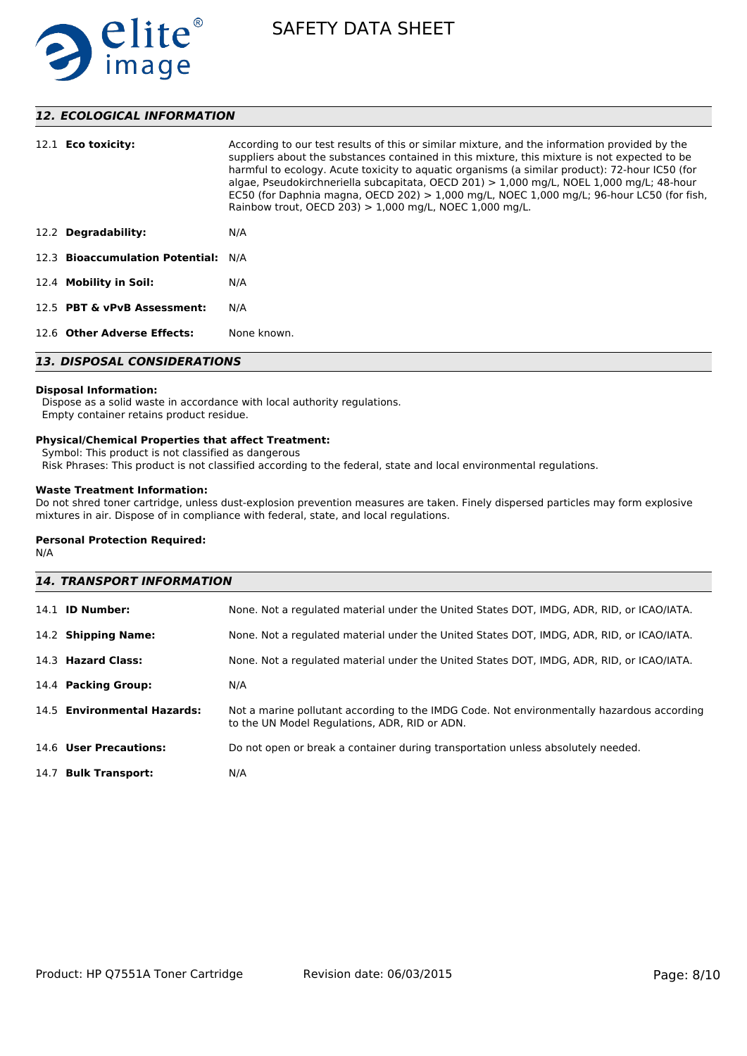

# *12. ECOLOGICAL INFORMATION*

| 12.1 <b>Eco toxicity:</b>           | According to our test results of this or similar mixture, and the information provided by the<br>suppliers about the substances contained in this mixture, this mixture is not expected to be<br>harmful to ecology. Acute toxicity to aguatic organisms (a similar product): 72-hour IC50 (for<br>algae, Pseudokirchneriella subcapitata, OECD 201) $> 1,000$ mg/L, NOEL 1,000 mg/L; 48-hour<br>EC50 (for Daphnia magna, OECD 202) $> 1,000$ mg/L, NOEC 1,000 mg/L; 96-hour LC50 (for fish,<br>Rainbow trout, OECD 203) $> 1,000$ mg/L, NOEC 1,000 mg/L. |  |
|-------------------------------------|-----------------------------------------------------------------------------------------------------------------------------------------------------------------------------------------------------------------------------------------------------------------------------------------------------------------------------------------------------------------------------------------------------------------------------------------------------------------------------------------------------------------------------------------------------------|--|
| 12.2 Degradability:                 | N/A                                                                                                                                                                                                                                                                                                                                                                                                                                                                                                                                                       |  |
| 12.3 Bioaccumulation Potential: N/A |                                                                                                                                                                                                                                                                                                                                                                                                                                                                                                                                                           |  |
| 12.4 Mobility in Soil:              | N/A                                                                                                                                                                                                                                                                                                                                                                                                                                                                                                                                                       |  |
| 12.5 PBT & vPvB Assessment:         | N/A                                                                                                                                                                                                                                                                                                                                                                                                                                                                                                                                                       |  |
| 12.6 Other Adverse Effects:         | None known.                                                                                                                                                                                                                                                                                                                                                                                                                                                                                                                                               |  |
| <b>13. DISPOSAL CONSIDERATIONS</b>  |                                                                                                                                                                                                                                                                                                                                                                                                                                                                                                                                                           |  |

# **Disposal Information:**

 Dispose as a solid waste in accordance with local authority regulations. Empty container retains product residue.

# **Physical/Chemical Properties that affect Treatment:**

Symbol: This product is not classified as dangerous

Risk Phrases: This product is not classified according to the federal, state and local environmental regulations.

# **Waste Treatment Information:**

Do not shred toner cartridge, unless dust-explosion prevention measures are taken. Finely dispersed particles may form explosive mixtures in air. Dispose of in compliance with federal, state, and local regulations.

# **Personal Protection Required:**

N/A

| <b>14. TRANSPORT INFORMATION</b> |                                                                                                                                             |  |
|----------------------------------|---------------------------------------------------------------------------------------------------------------------------------------------|--|
| $14.1$ ID Number:                | None. Not a regulated material under the United States DOT, IMDG, ADR, RID, or ICAO/IATA.                                                   |  |
| 14.2 Shipping Name:              | None. Not a regulated material under the United States DOT, IMDG, ADR, RID, or ICAO/IATA.                                                   |  |
| 14.3 Hazard Class:               | None. Not a regulated material under the United States DOT, IMDG, ADR, RID, or ICAO/IATA.                                                   |  |
| 14.4 Packing Group:              | N/A                                                                                                                                         |  |
| 14.5 Environmental Hazards:      | Not a marine pollutant according to the IMDG Code. Not environmentally hazardous according<br>to the UN Model Regulations, ADR, RID or ADN. |  |
| 14.6 User Precautions:           | Do not open or break a container during transportation unless absolutely needed.                                                            |  |
| 14.7 Bulk Transport:             | N/A                                                                                                                                         |  |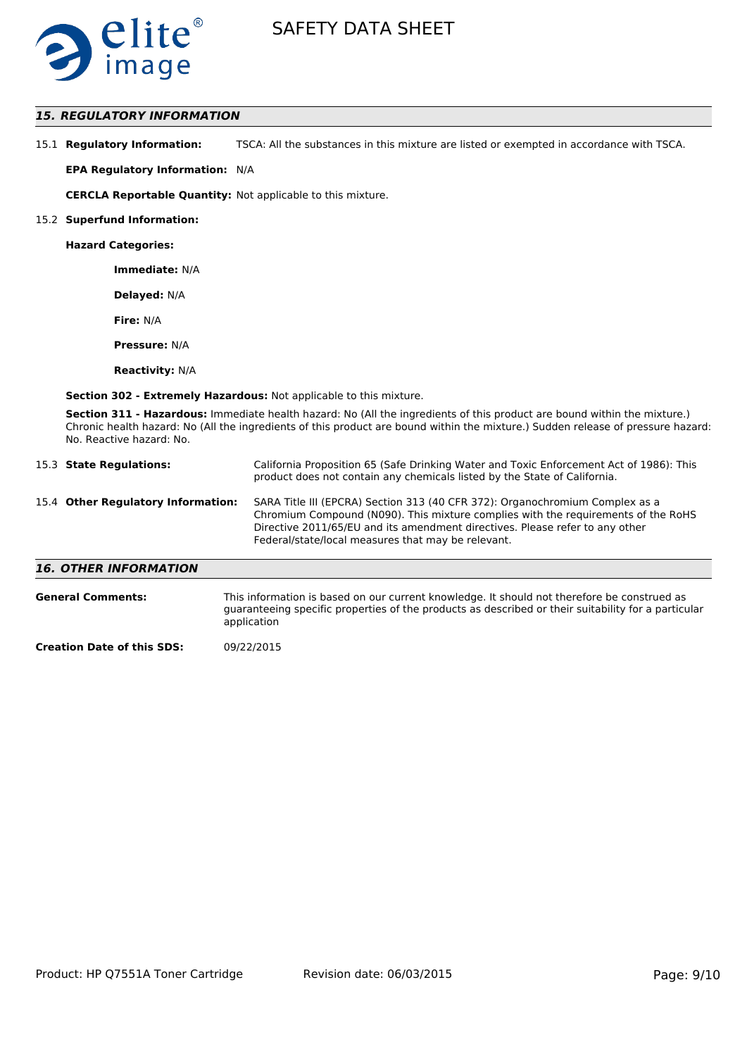

# *15. REGULATORY INFORMATION*

| 15.1 Regulatory Information: | TSCA: All the substances in this mixture are listed or exempted in accordance with TSCA. |
|------------------------------|------------------------------------------------------------------------------------------|
|------------------------------|------------------------------------------------------------------------------------------|

**EPA Regulatory Information:** N/A

**CERCLA Reportable Quantity:** Not applicable to this mixture.

#### 15.2 **Superfund Information:**

**Hazard Categories:**

**Immediate:** N/A

**Delayed:** N/A

**Fire:** N/A

**Pressure:** N/A

**Reactivity:** N/A

**Section 302 - Extremely Hazardous:** Not applicable to this mixture.

**Section 311 - Hazardous:** Immediate health hazard: No (All the ingredients of this product are bound within the mixture.) Chronic health hazard: No (All the ingredients of this product are bound within the mixture.) Sudden release of pressure hazard: No. Reactive hazard: No.

| 15.3 State Regulations:            | California Proposition 65 (Safe Drinking Water and Toxic Enforcement Act of 1986): This<br>product does not contain any chemicals listed by the State of California.                                                                                                                                    |
|------------------------------------|---------------------------------------------------------------------------------------------------------------------------------------------------------------------------------------------------------------------------------------------------------------------------------------------------------|
| 15.4 Other Regulatory Information: | SARA Title III (EPCRA) Section 313 (40 CFR 372): Organochromium Complex as a<br>Chromium Compound (N090). This mixture complies with the requirements of the RoHS<br>Directive 2011/65/EU and its amendment directives. Please refer to any other<br>Federal/state/local measures that may be relevant. |
| <b>16. OTHER INFORMATION</b>       |                                                                                                                                                                                                                                                                                                         |

| <b>General Comments:</b>          | This information is based on our current knowledge. It should not therefore be construed as<br>quaranteeing specific properties of the products as described or their suitability for a particular<br>application |
|-----------------------------------|-------------------------------------------------------------------------------------------------------------------------------------------------------------------------------------------------------------------|
| <b>Creation Date of this SDS:</b> | 09/22/2015                                                                                                                                                                                                        |